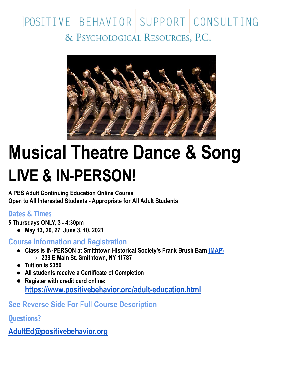## POSITIVE BEHAVIOR SUPPORT CONSULTING & PSYCHOLOGICAL RESOURCES, P.C.



## **Musical Theatre Dance & Song LIVE & IN-PERSON!**

**A PBS Adult Continuing Education Online Course Open to All Interested Students - Appropriate for All Adult Students**

## **Dates & Times**

**5 Thursdays ONLY, 3 - 4:30pm**

**● May 13, 20, 27, June 3, 10, 2021**

**Course Information and Registration**

- **● Class is IN-PERSON at Smithtown Historical Society's Frank Brush Barn [\(MAP\)](https://goo.gl/maps/LG5TAcfQ7j4wx3846) ○ 239 E Main St. Smithtown, NY 11787**
- **● Tuition is \$350**
- **● All students receive a Certificate of Completion**
- **● Register with credit card online: <https://www.positivebehavior.org/adult-education.html>**

**See Reverse Side For Full Course Description**

**Questions?**

**[AdultEd@positivebehavior.org](mailto:AdultEd@positivebehavior.org)**